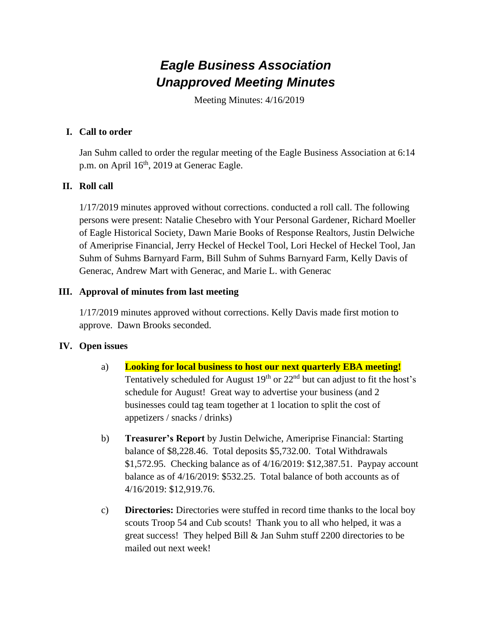# *Eagle Business Association Unapproved Meeting Minutes*

Meeting Minutes: 4/16/2019

# **I. Call to order**

Jan Suhm called to order the regular meeting of the Eagle Business Association at 6:14 p.m. on April 16<sup>th</sup>, 2019 at Generac Eagle.

# **II. Roll call**

1/17/2019 minutes approved without corrections. conducted a roll call. The following persons were present: Natalie Chesebro with Your Personal Gardener, Richard Moeller of Eagle Historical Society, Dawn Marie Books of Response Realtors, Justin Delwiche of Ameriprise Financial, Jerry Heckel of Heckel Tool, Lori Heckel of Heckel Tool, Jan Suhm of Suhms Barnyard Farm, Bill Suhm of Suhms Barnyard Farm, Kelly Davis of Generac, Andrew Mart with Generac, and Marie L. with Generac

## **III. Approval of minutes from last meeting**

1/17/2019 minutes approved without corrections. Kelly Davis made first motion to approve. Dawn Brooks seconded.

### **IV. Open issues**

- a) **Looking for local business to host our next quarterly EBA meeting!** Tentatively scheduled for August  $19<sup>th</sup>$  or  $22<sup>nd</sup>$  but can adjust to fit the host's schedule for August! Great way to advertise your business (and 2 businesses could tag team together at 1 location to split the cost of appetizers / snacks / drinks)
- b) **Treasurer's Report** by Justin Delwiche, Ameriprise Financial: Starting balance of \$8,228.46. Total deposits \$5,732.00. Total Withdrawals \$1,572.95. Checking balance as of 4/16/2019: \$12,387.51. Paypay account balance as of 4/16/2019: \$532.25. Total balance of both accounts as of 4/16/2019: \$12,919.76.
- c) **Directories:** Directories were stuffed in record time thanks to the local boy scouts Troop 54 and Cub scouts! Thank you to all who helped, it was a great success! They helped Bill & Jan Suhm stuff 2200 directories to be mailed out next week!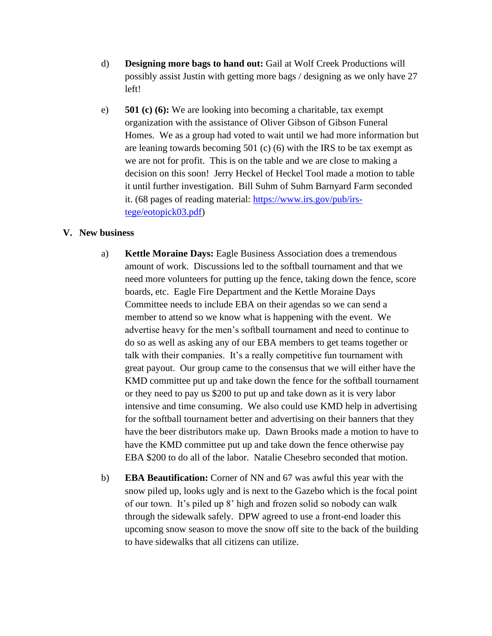- d) **Designing more bags to hand out:** Gail at Wolf Creek Productions will possibly assist Justin with getting more bags / designing as we only have 27 left!
- e) **501 (c) (6):** We are looking into becoming a charitable, tax exempt organization with the assistance of Oliver Gibson of Gibson Funeral Homes. We as a group had voted to wait until we had more information but are leaning towards becoming 501 (c) (6) with the IRS to be tax exempt as we are not for profit. This is on the table and we are close to making a decision on this soon! Jerry Heckel of Heckel Tool made a motion to table it until further investigation. Bill Suhm of Suhm Barnyard Farm seconded it. (68 pages of reading material: [https://www.irs.gov/pub/irs](https://www.irs.gov/pub/irs-tege/eotopick03.pdf)[tege/eotopick03.pdf\)](https://www.irs.gov/pub/irs-tege/eotopick03.pdf)

#### **V. New business**

- a) **Kettle Moraine Days:** Eagle Business Association does a tremendous amount of work. Discussions led to the softball tournament and that we need more volunteers for putting up the fence, taking down the fence, score boards, etc. Eagle Fire Department and the Kettle Moraine Days Committee needs to include EBA on their agendas so we can send a member to attend so we know what is happening with the event. We advertise heavy for the men's softball tournament and need to continue to do so as well as asking any of our EBA members to get teams together or talk with their companies. It's a really competitive fun tournament with great payout. Our group came to the consensus that we will either have the KMD committee put up and take down the fence for the softball tournament or they need to pay us \$200 to put up and take down as it is very labor intensive and time consuming. We also could use KMD help in advertising for the softball tournament better and advertising on their banners that they have the beer distributors make up. Dawn Brooks made a motion to have to have the KMD committee put up and take down the fence otherwise pay EBA \$200 to do all of the labor. Natalie Chesebro seconded that motion.
- b) **EBA Beautification:** Corner of NN and 67 was awful this year with the snow piled up, looks ugly and is next to the Gazebo which is the focal point of our town. It's piled up 8' high and frozen solid so nobody can walk through the sidewalk safely. DPW agreed to use a front-end loader this upcoming snow season to move the snow off site to the back of the building to have sidewalks that all citizens can utilize.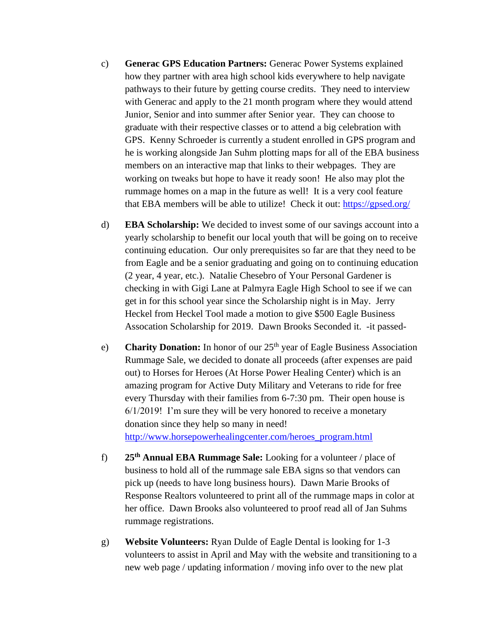- c) **Generac GPS Education Partners:** Generac Power Systems explained how they partner with area high school kids everywhere to help navigate pathways to their future by getting course credits. They need to interview with Generac and apply to the 21 month program where they would attend Junior, Senior and into summer after Senior year. They can choose to graduate with their respective classes or to attend a big celebration with GPS. Kenny Schroeder is currently a student enrolled in GPS program and he is working alongside Jan Suhm plotting maps for all of the EBA business members on an interactive map that links to their webpages. They are working on tweaks but hope to have it ready soon! He also may plot the rummage homes on a map in the future as well! It is a very cool feature that EBA members will be able to utilize! Check it out:<https://gpsed.org/>
- d) **EBA Scholarship:** We decided to invest some of our savings account into a yearly scholarship to benefit our local youth that will be going on to receive continuing education. Our only prerequisites so far are that they need to be from Eagle and be a senior graduating and going on to continuing education (2 year, 4 year, etc.). Natalie Chesebro of Your Personal Gardener is checking in with Gigi Lane at Palmyra Eagle High School to see if we can get in for this school year since the Scholarship night is in May. Jerry Heckel from Heckel Tool made a motion to give \$500 Eagle Business Assocation Scholarship for 2019. Dawn Brooks Seconded it. -it passed-
- e) **Charity Donation:** In honor of our 25<sup>th</sup> year of Eagle Business Association Rummage Sale, we decided to donate all proceeds (after expenses are paid out) to Horses for Heroes (At Horse Power Healing Center) which is an amazing program for Active Duty Military and Veterans to ride for free every Thursday with their families from 6-7:30 pm. Their open house is 6/1/2019! I'm sure they will be very honored to receive a monetary donation since they help so many in need! [http://www.horsepowerhealingcenter.com/heroes\\_program.html](http://www.horsepowerhealingcenter.com/heroes_program.html)
- f) **25th Annual EBA Rummage Sale:** Looking for a volunteer / place of business to hold all of the rummage sale EBA signs so that vendors can pick up (needs to have long business hours). Dawn Marie Brooks of Response Realtors volunteered to print all of the rummage maps in color at her office. Dawn Brooks also volunteered to proof read all of Jan Suhms rummage registrations.
- g) **Website Volunteers:** Ryan Dulde of Eagle Dental is looking for 1-3 volunteers to assist in April and May with the website and transitioning to a new web page / updating information / moving info over to the new plat